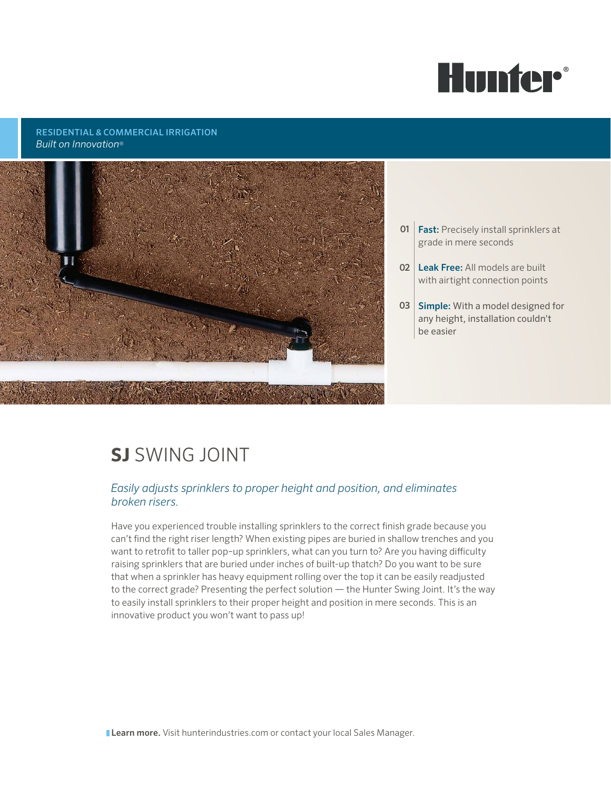

#### RESIDENTIAL & COMMERCIAL IRRIGATION *Built on Innovation*®



- **01** | **Fast:** Precisely install sprinklers at grade in mere seconds
- 02 | Leak Free: All models are built with airtight connection points
- 03 Simple: With a model designed for any height, installation couldn't be easier

# **SJ** SWING JOINT

#### *Easily adjusts sprinklers to proper height and position, and eliminates broken risers.*

Have you experienced trouble installing sprinklers to the correct finish grade because you can't find the right riser length? When existing pipes are buried in shallow trenches and you want to retrofit to taller pop–up sprinklers, what can you turn to? Are you having difficulty raising sprinklers that are buried under inches of built-up thatch? Do you want to be sure that when a sprinkler has heavy equipment rolling over the top it can be easily readjusted to the correct grade? Presenting the perfect solution — the Hunter Swing Joint. It's the way to easily install sprinklers to their proper height and position in mere seconds. This is an innovative product you won't want to pass up!